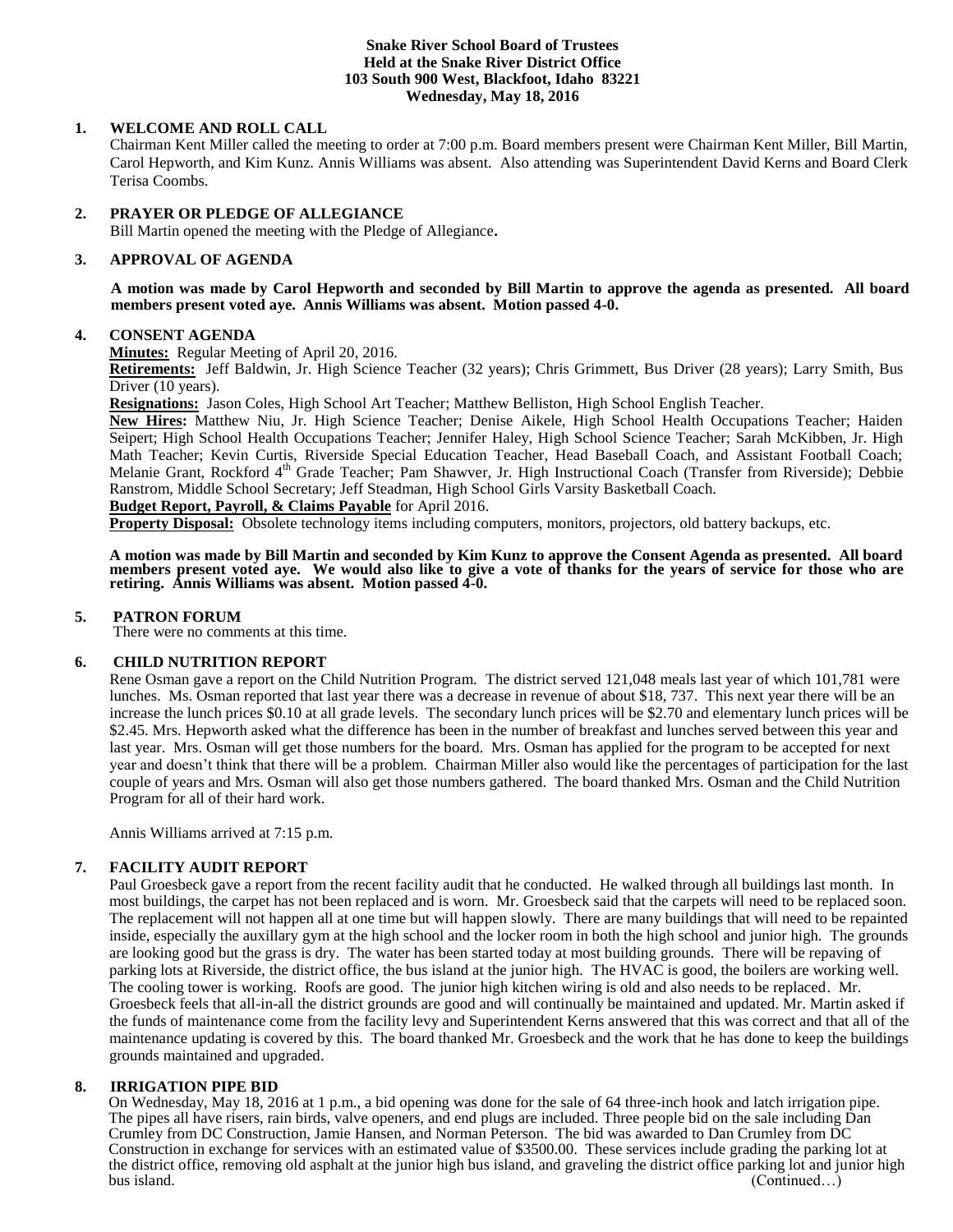#### **Snake River School Board of Trustees Held at the Snake River District Office 103 South 900 West, Blackfoot, Idaho 83221 Wednesday, May 18, 2016**

# **1. WELCOME AND ROLL CALL**

Chairman Kent Miller called the meeting to order at 7:00 p.m. Board members present were Chairman Kent Miller, Bill Martin, Carol Hepworth, and Kim Kunz. Annis Williams was absent. Also attending was Superintendent David Kerns and Board Clerk Terisa Coombs.

### **2. PRAYER OR PLEDGE OF ALLEGIANCE**

Bill Martin opened the meeting with the Pledge of Allegiance**.** 

#### $3.$ **3. APPROVAL OF AGENDA**

**A motion was made by Carol Hepworth and seconded by Bill Martin to approve the agenda as presented. All board members present voted aye. Annis Williams was absent. Motion passed 4-0.**

#### **4. CONSENT AGENDA**

**Minutes:** Regular Meeting of April 20, 2016.

**Retirements:** Jeff Baldwin, Jr. High Science Teacher (32 years); Chris Grimmett, Bus Driver (28 years); Larry Smith, Bus Driver (10 years).

**Resignations:** Jason Coles, High School Art Teacher; Matthew Belliston, High School English Teacher.

**New Hires:** Matthew Niu, Jr. High Science Teacher; Denise Aikele, High School Health Occupations Teacher; Haiden Seipert; High School Health Occupations Teacher; Jennifer Haley, High School Science Teacher; Sarah McKibben, Jr. High Math Teacher; Kevin Curtis, Riverside Special Education Teacher, Head Baseball Coach, and Assistant Football Coach; Melanie Grant, Rockford 4<sup>th</sup> Grade Teacher; Pam Shawver, Jr. High Instructional Coach (Transfer from Riverside); Debbie Ranstrom, Middle School Secretary; Jeff Steadman, High School Girls Varsity Basketball Coach.

# **Budget Report, Payroll, & Claims Payable** for April 2016.

**Property Disposal:** Obsolete technology items including computers, monitors, projectors, old battery backups, etc.

**A motion was made by Bill Martin and seconded by Kim Kunz to approve the Consent Agenda as presented. All board members present voted aye. We would also like to give a vote of thanks for the years of service for those who are retiring. Annis Williams was absent. Motion passed 4-0.** 

#### **5. PATRON FORUM**

There were no comments at this time.

#### **6. CHILD NUTRITION REPORT**

Rene Osman gave a report on the Child Nutrition Program. The district served 121,048 meals last year of which 101,781 were lunches. Ms. Osman reported that last year there was a decrease in revenue of about \$18, 737. This next year there will be an increase the lunch prices \$0.10 at all grade levels. The secondary lunch prices will be \$2.70 and elementary lunch prices will be \$2.45. Mrs. Hepworth asked what the difference has been in the number of breakfast and lunches served between this year and last year. Mrs. Osman will get those numbers for the board. Mrs. Osman has applied for the program to be accepted for next year and doesn't think that there will be a problem. Chairman Miller also would like the percentages of participation for the last couple of years and Mrs. Osman will also get those numbers gathered. The board thanked Mrs. Osman and the Child Nutrition Program for all of their hard work.

Annis Williams arrived at 7:15 p.m.

#### **7. FACILITY AUDIT REPORT**

Paul Groesbeck gave a report from the recent facility audit that he conducted. He walked through all buildings last month. In most buildings, the carpet has not been replaced and is worn. Mr. Groesbeck said that the carpets will need to be replaced soon. The replacement will not happen all at one time but will happen slowly. There are many buildings that will need to be repainted inside, especially the auxillary gym at the high school and the locker room in both the high school and junior high. The grounds are looking good but the grass is dry. The water has been started today at most building grounds. There will be repaving of parking lots at Riverside, the district office, the bus island at the junior high. The HVAC is good, the boilers are working well. The cooling tower is working. Roofs are good. The junior high kitchen wiring is old and also needs to be replaced. Mr. Groesbeck feels that all-in-all the district grounds are good and will continually be maintained and updated. Mr. Martin asked if the funds of maintenance come from the facility levy and Superintendent Kerns answered that this was correct and that all of the maintenance updating is covered by this. The board thanked Mr. Groesbeck and the work that he has done to keep the buildings grounds maintained and upgraded.

#### **8. IRRIGATION PIPE BID**

On Wednesday, May 18, 2016 at 1 p.m., a bid opening was done for the sale of 64 three-inch hook and latch irrigation pipe. The pipes all have risers, rain birds, valve openers, and end plugs are included. Three people bid on the sale including Dan Crumley from DC Construction, Jamie Hansen, and Norman Peterson. The bid was awarded to Dan Crumley from DC Construction in exchange for services with an estimated value of \$3500.00. These services include grading the parking lot at the district office, removing old asphalt at the junior high bus island, and graveling the district office parking lot and junior high bus island. (Continued...) (Continued...)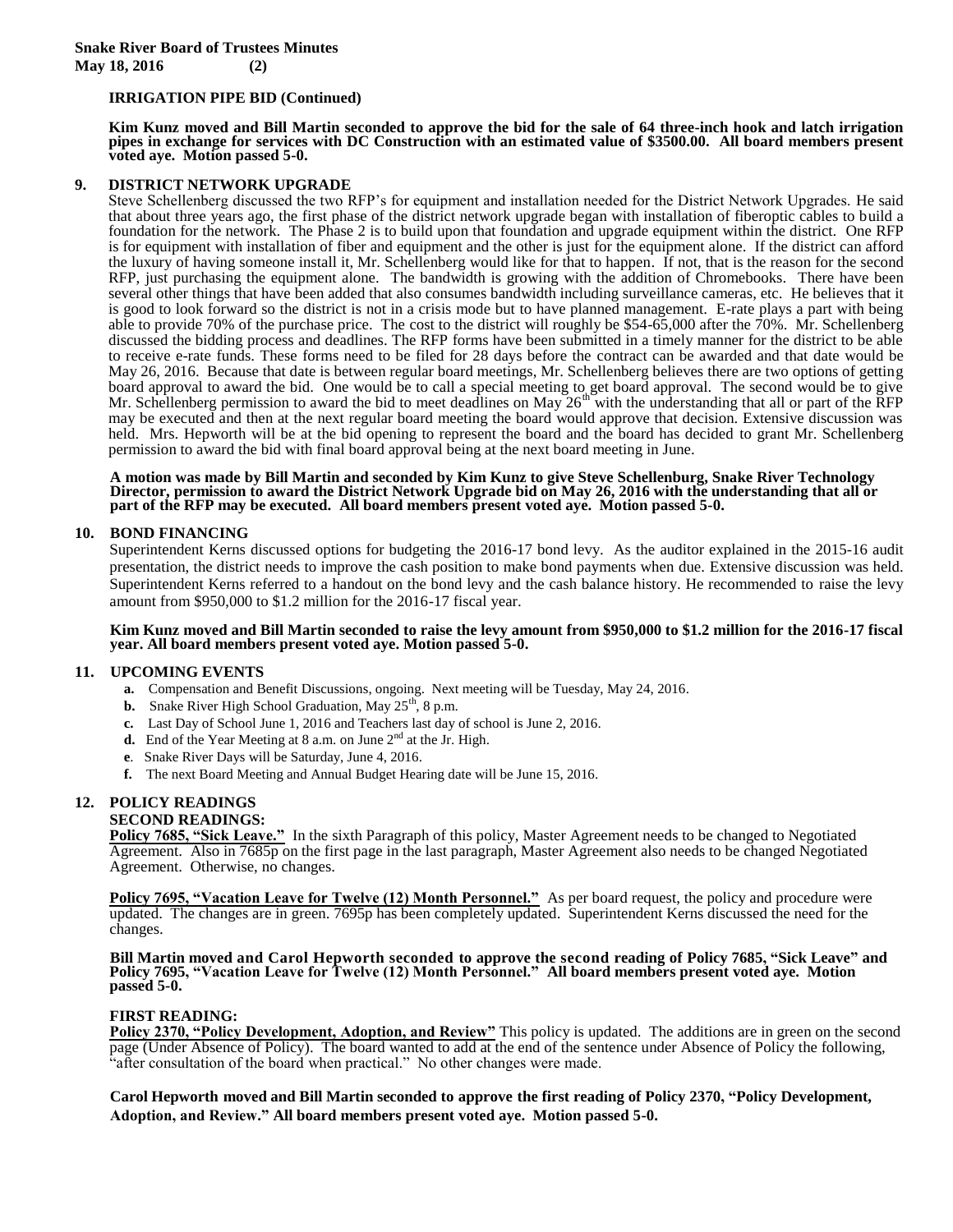#### **IRRIGATION PIPE BID (Continued)**

**Kim Kunz moved and Bill Martin seconded to approve the bid for the sale of 64 three-inch hook and latch irrigation pipes in exchange for services with DC Construction with an estimated value of \$3500.00. All board members present voted aye. Motion passed 5-0.** 

#### **9. DISTRICT NETWORK UPGRADE**

Steve Schellenberg discussed the two RFP's for equipment and installation needed for the District Network Upgrades. He said that about three years ago, the first phase of the district network upgrade began with installation of fiberoptic cables to build a foundation for the network. The Phase 2 is to build upon that foundation and upgrade equipment within the district. One RFP is for equipment with installation of fiber and equipment and the other is just for the equipment alone. If the district can afford the luxury of having someone install it, Mr. Schellenberg would like for that to happen. If not, that is the reason for the second RFP, just purchasing the equipment alone. The bandwidth is growing with the addition of Chromebooks. There have been several other things that have been added that also consumes bandwidth including surveillance cameras, etc. He believes that it is good to look forward so the district is not in a crisis mode but to have planned management. E-rate plays a part with being able to provide 70% of the purchase price. The cost to the district will roughly be \$54-65,000 after the 70%. Mr. Schellenberg discussed the bidding process and deadlines. The RFP forms have been submitted in a timely manner for the district to be able to receive e-rate funds. These forms need to be filed for 28 days before the contract can be awarded and that date would be May 26, 2016. Because that date is between regular board meetings, Mr. Schellenberg believes there are two options of getting board approval to award the bid. One would be to call a special meeting to get board approval. The second would be to give Mr. Schellenberg permission to award the bid to meet deadlines on May  $26<sup>th</sup>$  with the understanding that all or part of the RFP may be executed and then at the next regular board meeting the board would approve that decision. Extensive discussion was held. Mrs. Hepworth will be at the bid opening to represent the board and the board has decided to grant Mr. Schellenberg permission to award the bid with final board approval being at the next board meeting in June.

**A motion was made by Bill Martin and seconded by Kim Kunz to give Steve Schellenburg, Snake River Technology Director, permission to award the District Network Upgrade bid on May 26, 2016 with the understanding that all or part of the RFP may be executed. All board members present voted aye. Motion passed 5-0.**

#### **10. BOND FINANCING**

Superintendent Kerns discussed options for budgeting the 2016-17 bond levy. As the auditor explained in the 2015-16 audit presentation, the district needs to improve the cash position to make bond payments when due. Extensive discussion was held. Superintendent Kerns referred to a handout on the bond levy and the cash balance history. He recommended to raise the levy amount from \$950,000 to \$1.2 million for the 2016-17 fiscal year.

#### **Kim Kunz moved and Bill Martin seconded to raise the levy amount from \$950,000 to \$1.2 million for the 2016-17 fiscal year. All board members present voted aye. Motion passed 5-0.**

#### **11. UPCOMING EVENTS**

- **a.** Compensation and Benefit Discussions, ongoing. Next meeting will be Tuesday, May 24, 2016.
- **b.** Snake River High School Graduation, May 25<sup>th</sup>, 8 p.m.
- **c.** Last Day of School June 1, 2016 and Teachers last day of school is June 2, 2016.
- **d.** End of the Year Meeting at 8 a.m. on June 2<sup>nd</sup> at the Jr. High.
- **e**. Snake River Days will be Saturday, June 4, 2016.
- **f.** The next Board Meeting and Annual Budget Hearing date will be June 15, 2016.

# **12. POLICY READINGS**

**SECOND READINGS:**

**Policy 7685, "Sick Leave."** In the sixth Paragraph of this policy, Master Agreement needs to be changed to Negotiated Agreement. Also in 7685p on the first page in the last paragraph, Master Agreement also needs to be changed Negotiated Agreement. Otherwise, no changes.

**Policy 7695, "Vacation Leave for Twelve (12) Month Personnel."** As per board request, the policy and procedure were updated. The changes are in green. 7695p has been completely updated. Superintendent Kerns discussed the need for the changes.

**Bill Martin moved and Carol Hepworth seconded to approve the second reading of Policy 7685, "Sick Leave" and Policy 7695, "Vacation Leave for Twelve (12) Month Personnel." All board members present voted aye. Motion passed 5-0.**

#### **FIRST READING:**

**Policy 2370, "Policy Development, Adoption, and Review"** This policy is updated. The additions are in green on the second page (Under Absence of Policy). The board wanted to add at the end of the sentence under Absence of Policy the following, "after consultation of the board when practical." No other changes were made.

**Carol Hepworth moved and Bill Martin seconded to approve the first reading of Policy 2370, "Policy Development, Adoption, and Review." All board members present voted aye. Motion passed 5-0.**